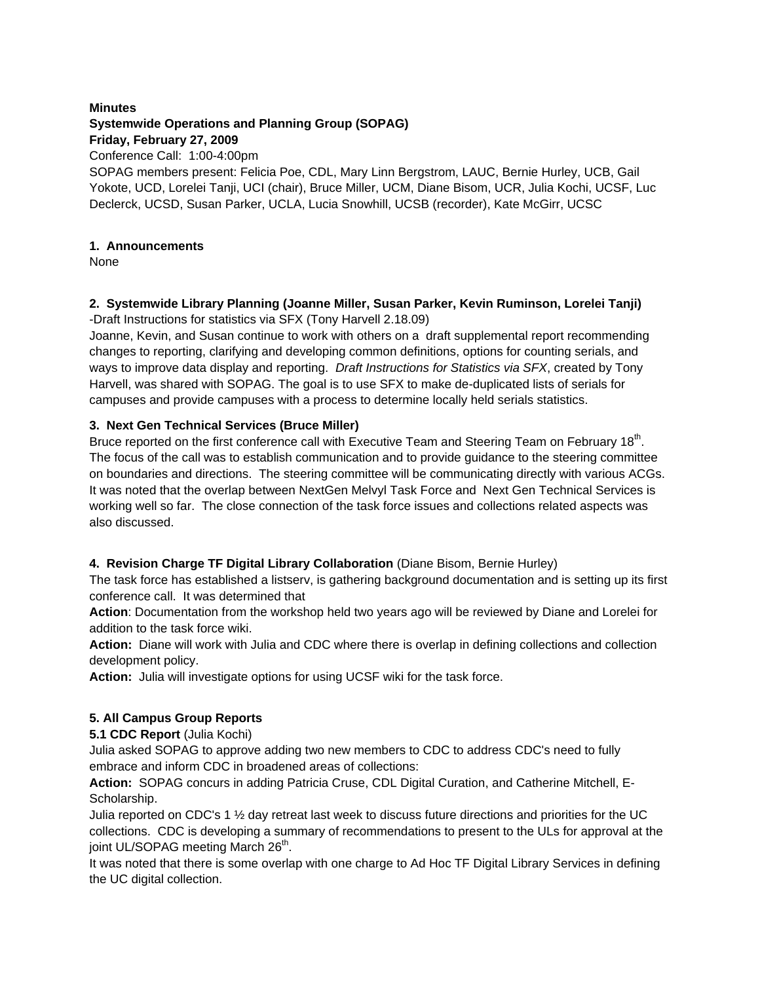## **Minutes Systemwide Operations and Planning Group (SOPAG) Friday, February 27, 2009** Conference Call: 1:00-4:00pm

SOPAG members present: Felicia Poe, CDL, Mary Linn Bergstrom, LAUC, Bernie Hurley, UCB, Gail Yokote, UCD, Lorelei Tanji, UCI (chair), Bruce Miller, UCM, Diane Bisom, UCR, Julia Kochi, UCSF, Luc Declerck, UCSD, Susan Parker, UCLA, Lucia Snowhill, UCSB (recorder), Kate McGirr, UCSC

# **1. Announcements**

None

### **2. Systemwide Library Planning (Joanne Miller, Susan Parker, Kevin Ruminson, Lorelei Tanji)** -Draft Instructions for statistics via SFX (Tony Harvell 2.18.09)

Joanne, Kevin, and Susan continue to work with others on a draft supplemental report recommending changes to reporting, clarifying and developing common definitions, options for counting serials, and ways to improve data display and reporting. *Draft Instructions for Statistics via SFX*, created by Tony Harvell, was shared with SOPAG. The goal is to use SFX to make de-duplicated lists of serials for

## campuses and provide campuses with a process to determine locally held serials statistics.

# **3. Next Gen Technical Services (Bruce Miller)**

Bruce reported on the first conference call with Executive Team and Steering Team on February 18<sup>th</sup>. The focus of the call was to establish communication and to provide guidance to the steering committee on boundaries and directions. The steering committee will be communicating directly with various ACGs. It was noted that the overlap between NextGen Melvyl Task Force and Next Gen Technical Services is working well so far. The close connection of the task force issues and collections related aspects was also discussed.

# **4. Revision Charge TF Digital Library Collaboration** (Diane Bisom, Bernie Hurley)

The task force has established a listserv, is gathering background documentation and is setting up its first conference call. It was determined that

**Action**: Documentation from the workshop held two years ago will be reviewed by Diane and Lorelei for addition to the task force wiki.

**Action:** Diane will work with Julia and CDC where there is overlap in defining collections and collection development policy.

**Action:** Julia will investigate options for using UCSF wiki for the task force.

# **5. All Campus Group Reports**

## **5.1 CDC Report** (Julia Kochi)

Julia asked SOPAG to approve adding two new members to CDC to address CDC's need to fully embrace and inform CDC in broadened areas of collections:

**Action:** SOPAG concurs in adding Patricia Cruse, CDL Digital Curation, and Catherine Mitchell, E-Scholarship.

Julia reported on CDC's 1  $\frac{1}{2}$  day retreat last week to discuss future directions and priorities for the UC collections. CDC is developing a summary of recommendations to present to the ULs for approval at the joint UL/SOPAG meeting March 26<sup>th</sup>.

It was noted that there is some overlap with one charge to Ad Hoc TF Digital Library Services in defining the UC digital collection.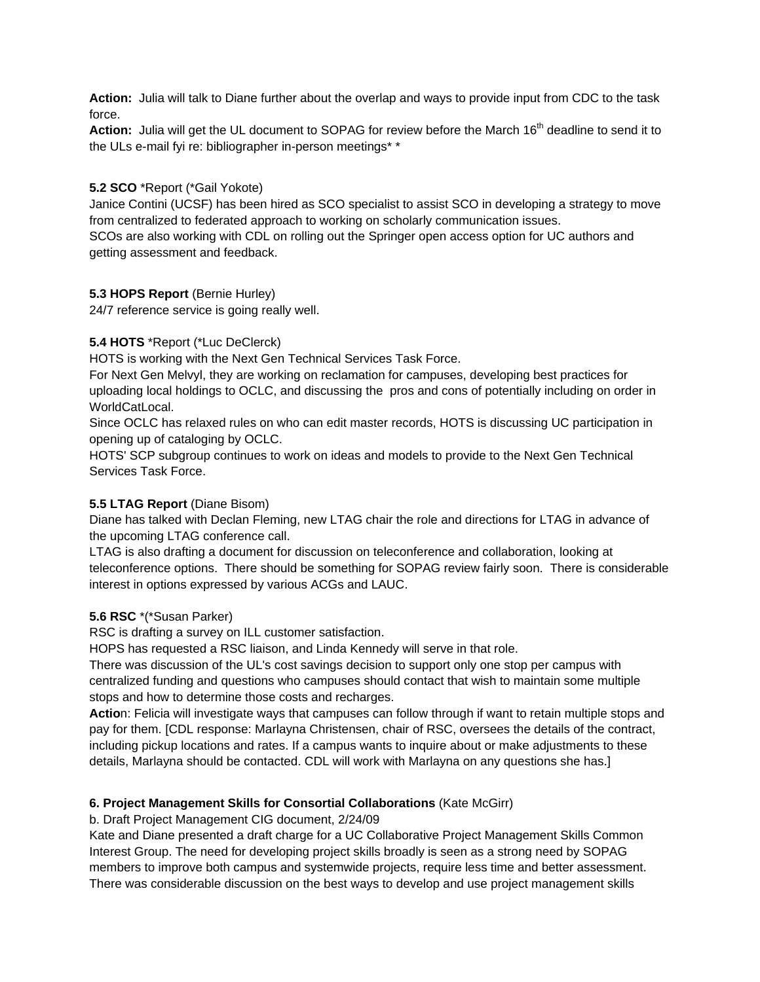**Action:** Julia will talk to Diane further about the overlap and ways to provide input from CDC to the task force.

Action: Julia will get the UL document to SOPAG for review before the March 16<sup>th</sup> deadline to send it to the ULs e-mail fyi re: bibliographer in-person meetings\* \*

## **5.2 SCO** \*Report (\*Gail Yokote)

Janice Contini (UCSF) has been hired as SCO specialist to assist SCO in developing a strategy to move from centralized to federated approach to working on scholarly communication issues. SCOs are also working with CDL on rolling out the Springer open access option for UC authors and getting assessment and feedback.

### **5.3 HOPS Report** (Bernie Hurley)

24/7 reference service is going really well.

### **5.4 HOTS** \*Report (\*Luc DeClerck)

HOTS is working with the Next Gen Technical Services Task Force.

For Next Gen Melvyl, they are working on reclamation for campuses, developing best practices for uploading local holdings to OCLC, and discussing the pros and cons of potentially including on order in WorldCatLocal.

Since OCLC has relaxed rules on who can edit master records, HOTS is discussing UC participation in opening up of cataloging by OCLC.

HOTS' SCP subgroup continues to work on ideas and models to provide to the Next Gen Technical Services Task Force.

## **5.5 LTAG Report** (Diane Bisom)

Diane has talked with Declan Fleming, new LTAG chair the role and directions for LTAG in advance of the upcoming LTAG conference call.

LTAG is also drafting a document for discussion on teleconference and collaboration, looking at teleconference options. There should be something for SOPAG review fairly soon. There is considerable interest in options expressed by various ACGs and LAUC.

#### **5.6 RSC** \*(\*Susan Parker)

RSC is drafting a survey on ILL customer satisfaction.

HOPS has requested a RSC liaison, and Linda Kennedy will serve in that role.

There was discussion of the UL's cost savings decision to support only one stop per campus with centralized funding and questions who campuses should contact that wish to maintain some multiple stops and how to determine those costs and recharges.

**Actio**n: Felicia will investigate ways that campuses can follow through if want to retain multiple stops and pay for them. [CDL response: Marlayna Christensen, chair of RSC, oversees the details of the contract, including pickup locations and rates. If a campus wants to inquire about or make adjustments to these details, Marlayna should be contacted. CDL will work with Marlayna on any questions she has.]

#### **6. Project Management Skills for Consortial Collaborations** (Kate McGirr)

b. Draft Project Management CIG document, 2/24/09

Kate and Diane presented a draft charge for a UC Collaborative Project Management Skills Common Interest Group. The need for developing project skills broadly is seen as a strong need by SOPAG members to improve both campus and systemwide projects, require less time and better assessment. There was considerable discussion on the best ways to develop and use project management skills